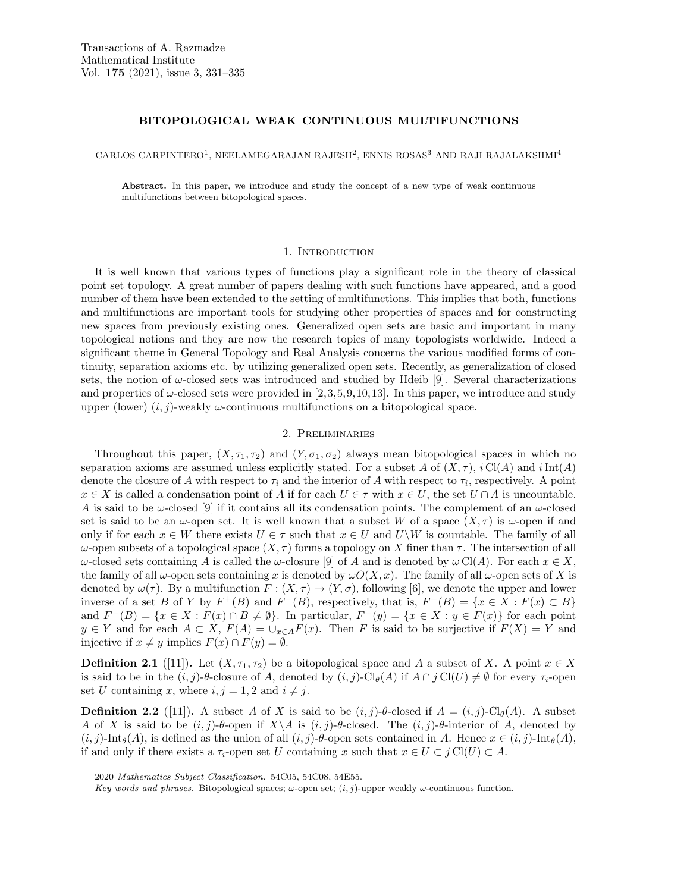# BITOPOLOGICAL WEAK CONTINUOUS MULTIFUNCTIONS

CARLOS CARPINTERO<sup>1</sup>, NEELAMEGARAJAN RAJESH<sup>2</sup>, ENNIS ROSAS<sup>3</sup> AND RAJI RAJALAKSHMI<sup>4</sup>

Abstract. In this paper, we introduce and study the concept of a new type of weak continuous multifunctions between bitopological spaces.

## 1. INTRODUCTION

It is well known that various types of functions play a significant role in the theory of classical point set topology. A great number of papers dealing with such functions have appeared, and a good number of them have been extended to the setting of multifunctions. This implies that both, functions and multifunctions are important tools for studying other properties of spaces and for constructing new spaces from previously existing ones. Generalized open sets are basic and important in many topological notions and they are now the research topics of many topologists worldwide. Indeed a significant theme in General Topology and Real Analysis concerns the various modified forms of continuity, separation axioms etc. by utilizing generalized open sets. Recently, as generalization of closed sets, the notion of  $\omega$ -closed sets was introduced and studied by Hdeib [9]. Several characterizations and properties of  $\omega$ -closed sets were provided in [2,3,5,9,10,13]. In this paper, we introduce and study upper (lower)  $(i, j)$ -weakly  $\omega$ -continuous multifunctions on a bitopological space.

#### 2. Preliminaries

Throughout this paper,  $(X, \tau_1, \tau_2)$  and  $(Y, \sigma_1, \sigma_2)$  always mean bitopological spaces in which no separation axioms are assumed unless explicitly stated. For a subset A of  $(X, \tau)$ , i Cl(A) and iInt(A) denote the closure of A with respect to  $\tau_i$  and the interior of A with respect to  $\tau_i$ , respectively. A point  $x \in X$  is called a condensation point of A if for each  $U \in \tau$  with  $x \in U$ , the set  $U \cap A$  is uncountable. A is said to be  $\omega$ -closed [9] if it contains all its condensation points. The complement of an  $\omega$ -closed set is said to be an  $\omega$ -open set. It is well known that a subset W of a space  $(X, \tau)$  is  $\omega$ -open if and only if for each  $x \in W$  there exists  $U \in \tau$  such that  $x \in U$  and  $U\backslash W$  is countable. The family of all ω-open subsets of a topological space  $(X, τ)$  forms a topology on X finer than τ. The intersection of all  $ω$ -closed sets containing A is called the ω-closure [9] of A and is denoted by  $ω \text{Cl}(A)$ . For each  $x \in X$ , the family of all  $\omega$ -open sets containing x is denoted by  $\omega O(X, x)$ . The family of all  $\omega$ -open sets of X is denoted by  $\omega(\tau)$ . By a multifunction  $F : (X, \tau) \to (Y, \sigma)$ , following [6], we denote the upper and lower inverse of a set B of Y by  $F^+(B)$  and  $F^-(B)$ , respectively, that is,  $F^+(B) = \{x \in X : F(x) \subset B\}$ and  $F^{-}(B) = \{x \in X : F(x) \cap B \neq \emptyset\}$ . In particular,  $F^{-}(y) = \{x \in X : y \in F(x)\}$  for each point  $y \in Y$  and for each  $A \subset X$ ,  $F(A) = \bigcup_{x \in A} F(x)$ . Then F is said to be surjective if  $F(X) = Y$  and injective if  $x \neq y$  implies  $F(x) \cap F(y) = \emptyset$ .

**Definition 2.1** ([11]). Let  $(X, \tau_1, \tau_2)$  be a bitopological space and A a subset of X. A point  $x \in X$ is said to be in the  $(i, j)$ - $\theta$ -closure of A, denoted by  $(i, j)$ - $Cl_{\theta}(A)$  if  $A \cap j Cl(U) \neq \emptyset$  for every  $\tau_i$ -open set U containing x, where  $i, j = 1, 2$  and  $i \neq j$ .

**Definition 2.2** ([11]). A subset A of X is said to be  $(i, j)$ -θ-closed if  $A = (i, j)$ -Cl<sub>θ</sub> $(A)$ . A subset A of X is said to be  $(i, j)$ -θ-open if  $X \setminus A$  is  $(i, j)$ -θ-closed. The  $(i, j)$ -θ-interior of A, denoted by  $(i,j)$ -Int $_{\theta}(A)$ , is defined as the union of all  $(i,j)$ - $\theta$ -open sets contained in A. Hence  $x \in (i,j)$ -Int $_{\theta}(A)$ , if and only if there exists a  $\tau_i$ -open set U containing x such that  $x \in U \subset i \operatorname{Cl}(U) \subset A$ .

<sup>2020</sup> Mathematics Subject Classification. 54C05, 54C08, 54E55.

Key words and phrases. Bitopological spaces;  $\omega$ -open set;  $(i, j)$ -upper weakly  $\omega$ -continuous function.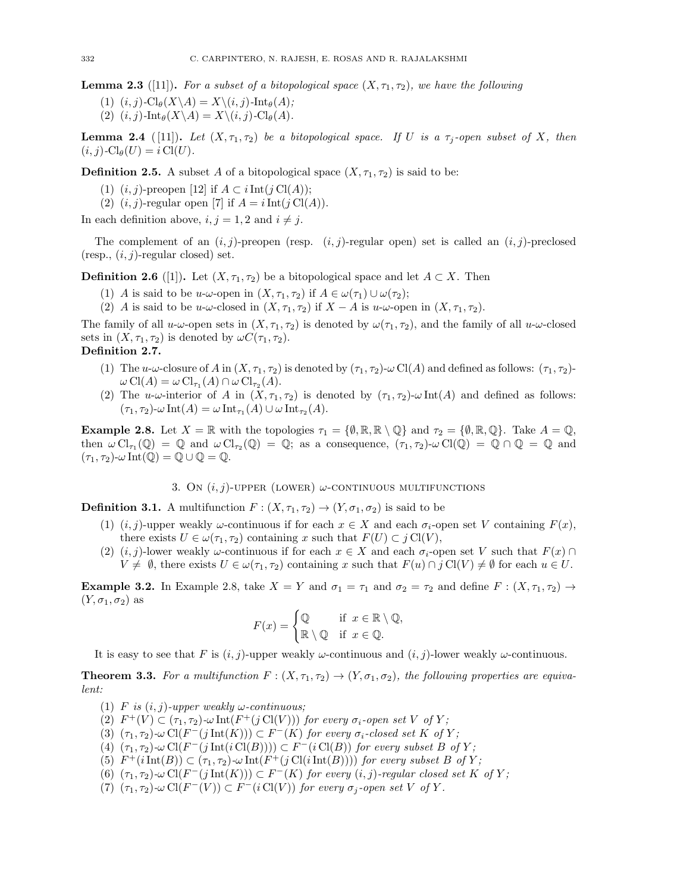**Lemma 2.3** ([11]). For a subset of a bitopological space  $(X, \tau_1, \tau_2)$ , we have the following

(1)  $(i, j)$ -Cl $_{\theta}(X \backslash A) = X \backslash (i, j)$ -Int $_{\theta}(A)$ ;

(2)  $(i, j)$ -Int $_{\theta}(X \backslash A) = X \backslash (i, j)$ -Cl $_{\theta}(A)$ .

**Lemma 2.4** ([11]). Let  $(X, \tau_1, \tau_2)$  be a bitopological space. If U is a  $\tau_i$ -open subset of X, then  $(i, j)$ -Cl $_{\theta}(U) = i$ Cl $(U)$ .

**Definition 2.5.** A subset A of a bitopological space  $(X, \tau_1, \tau_2)$  is said to be:

- (1)  $(i, j)$ -preopen [12] if  $A \subset i \text{Int}(i \text{Cl}(A));$
- (2)  $(i, j)$ -regular open [7] if  $A = i \text{Int}(j \text{Cl}(A)).$

In each definition above,  $i, j = 1, 2$  and  $i \neq j$ .

The complement of an  $(i, j)$ -preopen (resp.  $(i, j)$ -regular open) set is called an  $(i, j)$ -preclosed  $(resp., (i, j)$ -regular closed) set.

**Definition 2.6** ([1]). Let  $(X, \tau_1, \tau_2)$  be a bitopological space and let  $A \subset X$ . Then

- (1) A is said to be u-ω-open in  $(X, \tau_1, \tau_2)$  if  $A \in \omega(\tau_1) \cup \omega(\tau_2)$ ;
- (2) A is said to be u-ω-closed in  $(X, \tau_1, \tau_2)$  if  $X A$  is u-ω-open in  $(X, \tau_1, \tau_2)$ .

The family of all  $u$ -ω-open sets in  $(X, \tau_1, \tau_2)$  is denoted by  $\omega(\tau_1, \tau_2)$ , and the family of all  $u$ -ω-closed sets in  $(X, \tau_1, \tau_2)$  is denoted by  $\omega C(\tau_1, \tau_2)$ .

# Definition 2.7.

- (1) The u-ω-closure of A in  $(X, \tau_1, \tau_2)$  is denoted by  $(\tau_1, \tau_2)$ -ω Cl(A) and defined as follows:  $(\tau_1, \tau_2)$ - $\omega \operatorname{Cl}(A) = \omega \operatorname{Cl}_{\tau_1}(A) \cap \omega \operatorname{Cl}_{\tau_2}(A).$
- (2) The u-ω-interior of A in  $(X, \tau_1, \tau_2)$  is denoted by  $(\tau_1, \tau_2)$ -ω Int(A) and defined as follows:  $(\tau_1, \tau_2)$ -ω Int $(A) = \omega \operatorname{Int}_{\tau_1}(A) \cup \omega \operatorname{Int}_{\tau_2}(A).$

**Example 2.8.** Let  $X = \mathbb{R}$  with the topologies  $\tau_1 = \{0, \mathbb{R}, \mathbb{R} \setminus \mathbb{Q}\}\$  and  $\tau_2 = \{0, \mathbb{R}, \mathbb{Q}\}\$ . Take  $A = \mathbb{Q},$ then  $\omega \operatorname{Cl}_{\tau_1}(\mathbb{Q}) = \mathbb{Q}$  and  $\omega \operatorname{Cl}_{\tau_2}(\mathbb{Q}) = \mathbb{Q}$ ; as a consequence,  $(\tau_1, \tau_2)$ - $\omega \operatorname{Cl}(\mathbb{Q}) = \mathbb{Q} \cap \mathbb{Q} = \mathbb{Q}$  and  $(\tau_1, \tau_2)$ - $\omega$  Int $(\mathbb{Q}) = \mathbb{Q} \cup \mathbb{Q} = \mathbb{Q}$ .

### 3. On  $(i, j)$ -upper (LOWER)  $\omega$ -continuous multifunctions

**Definition 3.1.** A multifunction  $F : (X, \tau_1, \tau_2) \to (Y, \sigma_1, \sigma_2)$  is said to be

- (1)  $(i, j)$ -upper weakly  $\omega$ -continuous if for each  $x \in X$  and each  $\sigma_i$ -open set V containing  $F(x)$ , there exists  $U \in \omega(\tau_1, \tau_2)$  containing x such that  $F(U) \subset j \text{Cl}(V)$ ,
- (2)  $(i, j)$ -lower weakly  $\omega$ -continuous if for each  $x \in X$  and each  $\sigma_i$ -open set V such that  $F(x) \cap$  $V \neq \emptyset$ , there exists  $U \in \omega(\tau_1, \tau_2)$  containing x such that  $F(u) \cap j \text{Cl}(V) \neq \emptyset$  for each  $u \in U$ .

**Example 3.2.** In Example 2.8, take  $X = Y$  and  $\sigma_1 = \tau_1$  and  $\sigma_2 = \tau_2$  and define  $F : (X, \tau_1, \tau_2) \to$  $(Y, \sigma_1, \sigma_2)$  as

$$
F(x) = \begin{cases} \mathbb{Q} & \text{if } x \in \mathbb{R} \setminus \mathbb{Q}, \\ \mathbb{R} \setminus \mathbb{Q} & \text{if } x \in \mathbb{Q}. \end{cases}
$$

It is easy to see that F is  $(i, j)$ -upper weakly  $\omega$ -continuous and  $(i, j)$ -lower weakly  $\omega$ -continuous.

**Theorem 3.3.** For a multifunction  $F : (X, \tau_1, \tau_2) \to (Y, \sigma_1, \sigma_2)$ , the following properties are equivalent:

- (1) F is  $(i, j)$ -upper weakly  $\omega$ -continuous;
- (2)  $F^+(V) \subset (\tau_1, \tau_2)$ - $\omega \text{Int}(F^+(j \text{Cl}(V)))$  for every  $\sigma_i$ -open set V of Y;
- (3)  $(\tau_1, \tau_2)$ -ω Cl(F<sup>-</sup>(j Int(K)))  $\subset F^-(K)$  for every  $\sigma_i$ -closed set K of Y;
- (4)  $(\tau_1, \tau_2)$ - $\omega$  Cl(F<sup>-</sup>(j Int(i Cl(B))))  $\subset F^{-}(i \text{Cl}(B))$  for every subset B of Y;
- (5)  $F^+(i\mathrm{Int}(B)) \subset (\tau_1, \tau_2)$ - $\omega \mathrm{Int}(F^+(j\mathrm{Cl}(i\mathrm{Int}(B))))$  for every subset B of Y;
- (6)  $(\tau_1, \tau_2)$ - $\omega$  Cl(F<sup>-</sup>(j Int(K)))  $\subset$  F<sup>-</sup>(K) for every  $(i, j)$ -regular closed set K of Y;
- (7)  $(\tau_1, \tau_2)$ - $\omega$  Cl(F<sup>-</sup>(V))  $\subset F^{-}(i \text{Cl}(V))$  for every  $\sigma_j$ -open set V of Y.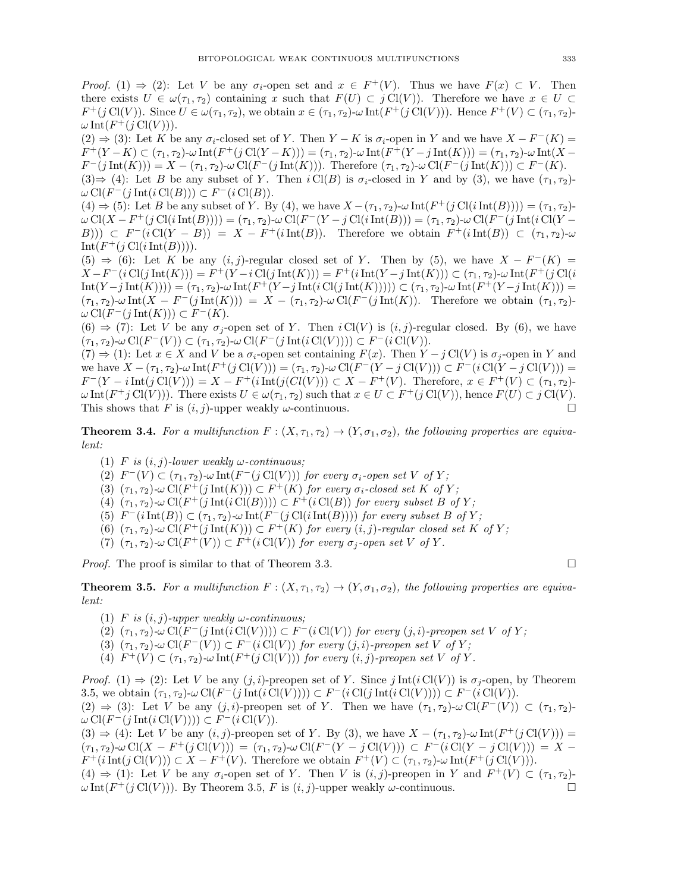*Proof.* (1)  $\Rightarrow$  (2): Let V be any  $\sigma_i$ -open set and  $x \in F^+(V)$ . Thus we have  $F(x) \subset V$ . Then there exists  $U \in \omega(\tau_1, \tau_2)$  containing x such that  $F(U) \subset j \text{Cl}(V)$ ). Therefore we have  $x \in U \subset$  $F^+(j\text{Cl}(V))$ . Since  $U \in \omega(\tau_1, \tau_2)$ , we obtain  $x \in (\tau_1, \tau_2)$ - $\omega \text{Int}(F^+(j\text{Cl}(V)))$ . Hence  $F^+(V) \subset (\tau_1, \tau_2)$ - $\omega$ Int $(F^+(j\operatorname{Cl}(V))).$ 

(2)  $\Rightarrow$  (3): Let K be any  $\sigma_i$ -closed set of Y. Then Y − K is  $\sigma_i$ -open in Y and we have  $X-F^-(K)$  =  $F^+(Y-K) \subset (\tau_1, \tau_2)$ -ω Int $(F^+(j \text{ Cl}(Y-K))) = (\tau_1, \tau_2)$ -ω Int $(F^+(Y-j \text{ Int}(K))) = (\tau_1, \tau_2)$ -ω Int $(X F^-(j \text{ Int}(K))) = X - (\tau_1, \tau_2) \cdot \omega \text{ Cl}(F^-(j \text{ Int}(K)))$ . Therefore  $(\tau_1, \tau_2) \cdot \omega \text{ Cl}(F^-(j \text{ Int}(K))) \subset F^-(K)$ .  $(3) \Rightarrow (4)$ : Let B be any subset of Y. Then  $i Cl(B)$  is  $\sigma_i$ -closed in Y and by (3), we have  $(\tau_1, \tau_2)$ - $\omega \operatorname{Cl}(F^-(j\operatorname{Int}(i\operatorname{Cl}(B))) \subset F^-(i\operatorname{Cl}(B)).$ 

 $(4) \Rightarrow (5)$ : Let B be any subset of Y. By (4), we have  $X - (\tau_1, \tau_2)$ - $\omega \text{Int}(F^+(j \text{Cl}(i \text{Int}(B)))) = (\tau_1, \tau_2)$ - $\omega \operatorname{Cl}(X - F^+(j \operatorname{Cl}(i \operatorname{Int}(B)))) = (\tau_1, \tau_2) - \omega \operatorname{Cl}(F^-(Y - j \operatorname{Cl}(i \operatorname{Int}(B))) = (\tau_1, \tau_2) - \omega \operatorname{Cl}(F^-(j \operatorname{Int}(i \operatorname{Cl}(Y - B))) = (\tau_1, \tau_2) - \omega \operatorname{Cl}(F^-(j \operatorname{Int}(i \operatorname{Cl}(Y - B))) = (\tau_1, \tau_2) - \omega \operatorname{Cl}(F^-(j \operatorname{Int}(i \operatorname{Cl}(Y - B))) = (\tau_1, \tau_2) - \omega \operatorname{Cl}(F^-(j \operatorname$ B)))  $\subset F^{-}(i \operatorname{Cl}(Y - B)) = X - F^{+}(i \operatorname{Int}(B))$ . Therefore we obtain  $F^{+}(i \operatorname{Int}(B)) \subset (\tau_1, \tau_2) - \omega$  $Int(F^+(j\operatorname{Cl}(i\operatorname{Int}(B))))$ .

 $(5) \Rightarrow (6)$ : Let K be any  $(i, j)$ -regular closed set of Y. Then by (5), we have  $X - F^{-}(K) =$  $X-F^{-}(i \text{Cl}(j \text{ Int}(K)))=F^{+}(Y-i \text{Cl}(j \text{ Int}(K)))=F^{+}(i \text{ Int}(Y-j \text{ Int}(K))) \subset (\tau_1,\tau_2)\text{-}\omega \text{ Int}(F^{+}(j \text{ Cl}(i \text{ Int}(K))))$  $\text{Int}(Y - j \text{ Int}(K)))) = (\tau_1, \tau_2) - \omega \text{ Int}(F^+(Y - j \text{ Int}(i \text{ Cl}(j \text{ Int}(K)))) \subset (\tau_1, \tau_2) - \omega \text{ Int}(F^+(Y - j \text{ Int}(K))) =$  $(\tau_1, \tau_2)$ -ω Int $(X - F^{-}(j \text{ Int}(K))) = X - (\tau_1, \tau_2)$ -ω Cl $(F^{-}(j \text{ Int}(K))$ . Therefore we obtain  $(\tau_1, \tau_2)$ - $\omega \operatorname{Cl}(F^-(j\operatorname{Int}(K))) \subset F^-(K).$ 

 $(6) \Rightarrow (7)$ : Let V be any  $\sigma_j$ -open set of Y. Then  $i \text{Cl}(V)$  is  $(i, j)$ -regular closed. By (6), we have  $(\tau_1, \tau_2)$ -ω Cl $(F^-(V)) \subset (\tau_1, \tau_2)$ -ω Cl $(F^-(j \text{ Int}(i \text{ Cl}(V)))) \subset F^-(i \text{ Cl}(V)).$ 

 $(7) \Rightarrow (1)$ : Let  $x \in X$  and V be a  $\sigma_i$ -open set containing  $F(x)$ . Then  $Y - j$  Cl(V) is  $\sigma_i$ -open in Y and we have  $X - (\tau_1, \tau_2)$ - $\omega$  Int $(F^+(j \text{Cl}(V))) = (\tau_1, \tau_2)$ - $\omega$  Cl $(F^-(Y - j \text{Cl}(V))) \subset F^-(i \text{Cl}(Y - j \text{Cl}(V))) =$  $F^-(Y - i Int(j \text{ Cl}(V))) = X - F^+(i Int(j(Cl(V))) \subset X - F^+(V)$ . Therefore,  $x \in F^+(V) \subset (\tau_1, \tau_2)$ - $\omega \operatorname{Int}(F^+j \operatorname{Cl}(V))$ . There exists  $U \in \omega(\tau_1, \tau_2)$  such that  $x \in U \subset F^+(j \operatorname{Cl}(V))$ , hence  $F(U) \subset j \operatorname{Cl}(V)$ . This shows that F is  $(i, j)$ -upper weakly  $\omega$ -continuous.

**Theorem 3.4.** For a multifunction  $F : (X, \tau_1, \tau_2) \to (Y, \sigma_1, \sigma_2)$ , the following properties are equivalent:

- (1) F is  $(i, j)$ -lower weakly  $\omega$ -continuous;
- (2)  $F^-(V) \subset (\tau_1, \tau_2)$ - $\omega \text{ Int}(F^-(j \text{ Cl}(V)))$  for every  $\sigma_i$ -open set V of Y;
- (3)  $(\tau_1, \tau_2)$ -ω Cl( $F^+(j \text{ Int}(K))$ )  $\subset F^+(K)$  for every  $\sigma_i$ -closed set K of Y;
- (4)  $(\tau_1, \tau_2)$ - $\omega$  Cl(F<sup>+</sup>(j Int(i Cl(B))))  $\subset F^+(i \text{Cl}(B))$  for every subset B of Y;
- (5)  $F^-(i\operatorname{Int}(B)) \subset (\tau_1, \tau_2)$ - $\omega \operatorname{Int}(F^-(j\operatorname{Cl}(i\operatorname{Int}(B))))$  for every subset B of Y;
- (6)  $(\tau_1, \tau_2)$ - $\omega$  Cl(F<sup>+</sup>(j Int(K)))  $\subset$  F<sup>+</sup>(K) for every  $(i, j)$ -regular closed set K of Y;
- (7)  $(\tau_1, \tau_2)$ - $\omega$  Cl( $F^+(V)$ )  $\subset F^+(i \text{Cl}(V))$  for every  $\sigma_j$ -open set V of Y.

*Proof.* The proof is similar to that of Theorem 3.3.

**Theorem 3.5.** For a multifunction  $F : (X, \tau_1, \tau_2) \to (Y, \sigma_1, \sigma_2)$ , the following properties are equivalent:

- (1) F is  $(i, j)$ -upper weakly  $\omega$ -continuous;
- (2)  $(\tau_1, \tau_2)$ -ω Cl(F<sup>-</sup>(j Int(i Cl(V))))  $\subset F^{-}(i \text{Cl}(V))$  for every (j, i)-preopen set V of Y;
- (3)  $(\tau_1, \tau_2)$ - $\omega$  Cl(F<sup>-</sup>(V))  $\subset$  F<sup>-</sup>(i Cl(V)) for every (j, i)-preopen set V of Y;
- (4)  $F^+(V) \subset (\tau_1, \tau_2)$ - $\omega \text{Int}(F^+(j \text{Cl}(V)))$  for every  $(i, j)$ -preopen set V of Y.

*Proof.* (1)  $\Rightarrow$  (2): Let V be any  $(j, i)$ -preopen set of Y. Since j Int(i Cl(V)) is  $\sigma_i$ -open, by Theorem 3.5, we obtain  $(\tau_1, \tau_2)$ - $\omega \operatorname{Cl}(F^-(j \operatorname{Int}(i \operatorname{Cl}(V)))) \subset F^-(i \operatorname{Cl}(j \operatorname{Int}(i \operatorname{Cl}(V)))) \subset F^-(i \operatorname{Cl}(V))$ . (2)  $\Rightarrow$  (3): Let V be any (j, i)-preopen set of Y. Then we have  $(\tau_1, \tau_2)$ - $\omega$ Cl( $F^{-}(V)$ )  $\subset (\tau_1, \tau_2)$ - $\omega \operatorname{Cl}(F^-(j \operatorname{Int}(i \operatorname{Cl}(V)))) \subset F^-(i \operatorname{Cl}(V)).$ 

 $(3) \Rightarrow (4)$ : Let V be any  $(i, j)$ -preopen set of Y. By (3), we have  $X - (\tau_1, \tau_2)$ - $\omega \text{Int}(F^+(j\text{Cl}(V))) =$  $(\tau_1, \tau_2)$ -ω Cl(X – F<sup>+</sup>(j Cl(V))) =  $(\tau_1, \tau_2)$ -ω Cl(F<sup>-</sup>(Y – j Cl(V)))  $\subset F^-(i \text{Cl}(Y - j \text{Cl}(V))) = X F^+(i\mathrm{Int}(j\mathrm{Cl}(V)))\subset X-F^+(V)$ . Therefore we obtain  $F^+(V)\subset (\tau_1,\tau_2)\text{-}\omega \mathrm{Int}(F^+(j\mathrm{Cl}(V))).$ (4)  $\Rightarrow$  (1): Let V be any  $\sigma_i$ -open set of Y. Then V is  $(i, j)$ -preopen in Y and  $F^+(V) \subset (\tau_1, \tau_2)$ -

 $\omega$ Int( $F^+(j \text{Cl}(V))$ ). By Theorem 3.5, F is  $(i, j)$ -upper weakly  $\omega$ -continuous.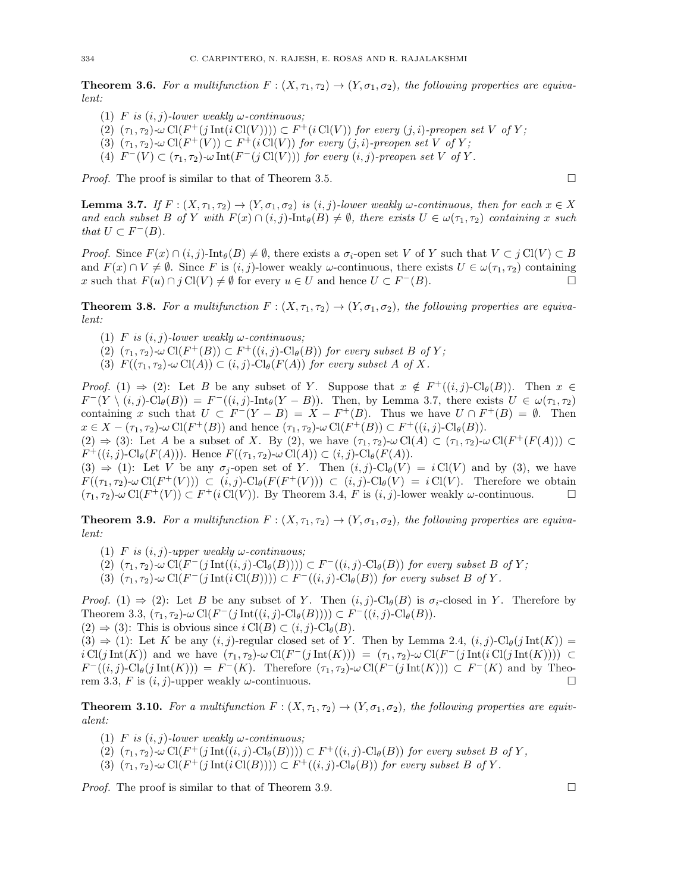**Theorem 3.6.** For a multifunction  $F : (X, \tau_1, \tau_2) \to (Y, \sigma_1, \sigma_2)$ , the following properties are equivalent:

- (1) F is  $(i, j)$ -lower weakly  $\omega$ -continuous;
- (2)  $(\tau_1, \tau_2)$ -ω Cl(F<sup>+</sup>(j Int(i Cl(V))))  $\subset F^+(i \text{Cl}(V))$  for every (j, i)-preopen set V of Y;
- (3)  $(\tau_1, \tau_2)$ - $\omega$  Cl(F<sup>+</sup>(V))  $\subset$  F<sup>+</sup>(i Cl(V)) for every (j, i)-preopen set V of Y;
- (4)  $F^-(V) \subset (\tau_1, \tau_2)$ - $\omega \text{Int}(F^-(j \text{Cl}(V)))$  for every  $(i, j)$ -preopen set V of Y.

*Proof.* The proof is similar to that of Theorem 3.5.

**Lemma 3.7.** If  $F : (X, \tau_1, \tau_2) \to (Y, \sigma_1, \sigma_2)$  is  $(i, j)$ -lower weakly  $\omega$ -continuous, then for each  $x \in X$ and each subset B of Y with  $F(x) \cap (i, j)$ -Int $_{\theta}(B) \neq \emptyset$ , there exists  $U \in \omega(\tau_1, \tau_2)$  containing x such that  $U \subset F^{-}(B)$ .

*Proof.* Since  $F(x) \cap (i, j)$ -Int $_{\theta}(B) \neq \emptyset$ , there exists a  $\sigma_i$ -open set V of Y such that  $V \subset j$  Cl(V)  $\subset B$ and  $F(x) \cap V \neq \emptyset$ . Since F is  $(i, j)$ -lower weakly  $\omega$ -continuous, there exists  $U \in \omega(\tau_1, \tau_2)$  containing x such that  $F(u) \cap j \text{Cl}(V) \neq \emptyset$  for every  $u \in U$  and hence  $U \subset F^{-}(B)$ .

**Theorem 3.8.** For a multifunction  $F : (X, \tau_1, \tau_2) \to (Y, \sigma_1, \sigma_2)$ , the following properties are equivalent:

- (1) F is  $(i, j)$ -lower weakly  $\omega$ -continuous;
- (2)  $(\tau_1, \tau_2)$ -ω Cl( $F^+(B)$ )  $\subset F^+((i,j)$ -Cl<sub>θ</sub>(B)) for every subset B of Y;
- (3)  $F((\tau_1, \tau_2) \text{-} \omega \operatorname{Cl}(A)) \subset (i, j) \text{-} \operatorname{Cl}_{\theta}(F(A))$  for every subset A of X.

*Proof.* (1)  $\Rightarrow$  (2): Let B be any subset of Y. Suppose that  $x \notin F^+((i,j)\text{-Cl}_{\theta}(B))$ . Then  $x \in$  $F^-(Y \setminus (i,j) \text{-} \text{Cl}_{\theta}(B)) = F^-(i,j) \text{-} \text{Int}_{\theta}(Y-B)).$  Then, by Lemma 3.7, there exists  $U \in \omega(\tau_1, \tau_2)$ containing x such that  $U \subset F^{-}(Y - B) = X - F^{+}(B)$ . Thus we have  $U \cap F^{+}(B) = \emptyset$ . Then  $x \in X - (\tau_1, \tau_2)$ -ω Cl $(F^+(B))$  and hence  $(\tau_1, \tau_2)$ -ω Cl $(F^+(B)) \subset F^+((i,j)\text{-Cl}_{\theta}(B)).$ 

 $(2) \Rightarrow (3)$ : Let A be a subset of X. By (2), we have  $(\tau_1, \tau_2)$ - $\omega$ Cl(A)  $\subset (\tau_1, \tau_2)$ - $\omega$ Cl(F<sup>+</sup>(F(A)))  $\subset$  $F^+((i, j)$ -Cl<sub> $\theta$ </sub> $(F(A)))$ . Hence  $F((\tau_1, \tau_2)$ - $\omega$ Cl $(A)) \subset (i, j)$ -Cl $_{\theta}$  $(F(A))$ .

 $(3) \Rightarrow (1)$ : Let V be any  $\sigma_i$ -open set of Y. Then  $(i, j)$ -Cl<sub> $\theta$ </sub> $(V) = i$ Cl $(V)$  and by (3), we have  $F((\tau_1, \tau_2) - \omega \operatorname{Cl}(F^+(V))) \subset (i, j)$ - $\operatorname{Cl}_{\theta}(F(F^+(V))) \subset (i, j)$ - $\operatorname{Cl}_{\theta}(V) = i \operatorname{Cl}(V)$ . Therefore we obtain  $(\tau_1, \tau_2)$ -ω Cl $(F^+(V)) \subset F^+(i \text{Cl}(V))$ . By Theorem 3.4, F is  $(i, j)$ -lower weakly ω-continuous.

**Theorem 3.9.** For a multifunction  $F : (X, \tau_1, \tau_2) \to (Y, \sigma_1, \sigma_2)$ , the following properties are equivalent:

- (1) F is  $(i, j)$ -upper weakly  $\omega$ -continuous;
- (2)  $(\tau_1, \tau_2)$ -ω Cl(F<sup>-</sup>(j Int((i, j)-Cl<sub>θ</sub>(B))))  $\subset F^{-}((i, j)$ -Cl<sub>θ</sub>(B)) for every subset B of Y;
- (3)  $(\tau_1, \tau_2)$ - $\omega$  Cl(F<sup>-</sup>(j Int(i Cl(B))))  $\subset F^{-}((i, j)$ -Cl<sub>θ</sub>(B)) for every subset B of Y.

*Proof.* (1)  $\Rightarrow$  (2): Let B be any subset of Y. Then  $(i, j)$ -Cl<sub> $\theta$ </sub>(B) is  $\sigma_i$ -closed in Y. Therefore by Theorem 3.3,  $(\tau_1, \tau_2)$ -ω Cl $(F^-(j \text{ Int}((i, j) \text{-Cl}_{\theta}(B)))) \subset F^-(i, j)$ -Cl<sub>θ</sub> $(B))$ .  $(2) \Rightarrow (3)$ : This is obvious since  $i \text{Cl}(B) \subset (i, j)$ -Cl<sub> $\theta$ </sub> $(B)$ .

 $(3) \Rightarrow (1)$ : Let K be any  $(i, j)$ -regular closed set of Y. Then by Lemma 2.4,  $(i, j)$ -Cl $_{\theta}(j \text{ Int}(K))$  =  $i \operatorname{Cl}(j \operatorname{Int}(K))$  and we have  $(\tau_1, \tau_2)$ -ω  $\operatorname{Cl}(F^-(j \operatorname{Int}(K))) = (\tau_1, \tau_2)$ -ω  $\operatorname{Cl}(F^-(j \operatorname{Int}(i \operatorname{Cl}(j \operatorname{Int}(K)))) \subset$  $F^{-}((i, j)\text{-}Cl_{\theta}(j Int(K))) = F^{-}(K)$ . Therefore  $(\tau_1, \tau_2)\text{-}\omega Cl(F^{-}(j Int(K))) \subset F^{-}(K)$  and by Theorem 3.3, F is  $(i, j)$ -upper weakly  $\omega$ -continuous.

**Theorem 3.10.** For a multifunction  $F : (X, \tau_1, \tau_2) \to (Y, \sigma_1, \sigma_2)$ , the following properties are equivalent:

- (1) F is  $(i, j)$ -lower weakly  $\omega$ -continuous;
- (2)  $(\tau_1, \tau_2)$ -ω Cl(F<sup>+</sup>(j Int((i, j)-Cl<sub>θ</sub>(B))))  $\subset F^+((i,j)\text{-Cl}_{\theta}(B))$  for every subset B of Y,
- (3)  $(\tau_1, \tau_2)$ - $\omega$  Cl(F<sup>+</sup>(j Int(i Cl(B))))  $\subset F^+((i,j)$ -Cl<sub>θ</sub>(B)) for every subset B of Y.

*Proof.* The proof is similar to that of Theorem 3.9.